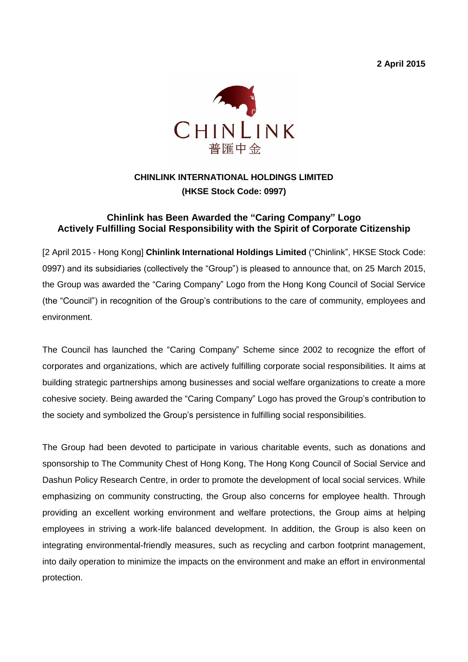**2 April 2015**



## **CHINLINK INTERNATIONAL HOLDINGS LIMITED (HKSE Stock Code: 0997)**

## **Chinlink has Been Awarded the "Caring Company" Logo Actively Fulfilling Social Responsibility with the Spirit of Corporate Citizenship**

[2 April 2015 - Hong Kong] **Chinlink International Holdings Limited** ("Chinlink", HKSE Stock Code: 0997) and its subsidiaries (collectively the "Group") is pleased to announce that, on 25 March 2015, the Group was awarded the "Caring Company" Logo from the Hong Kong Council of Social Service (the "Council") in recognition of the Group's contributions to the care of community, employees and environment.

The Council has launched the "Caring Company" Scheme since 2002 to recognize the effort of corporates and organizations, which are actively fulfilling corporate social responsibilities. It aims at building strategic partnerships among businesses and social welfare organizations to create a more cohesive society. Being awarded the "Caring Company" Logo has proved the Group's contribution to the society and symbolized the Group's persistence in fulfilling social responsibilities.

The Group had been devoted to participate in various charitable events, such as donations and sponsorship to The Community Chest of Hong Kong, The Hong Kong Council of Social Service and Dashun Policy Research Centre, in order to promote the development of local social services. While emphasizing on community constructing, the Group also concerns for employee health. Through providing an excellent working environment and welfare protections, the Group aims at helping employees in striving a work-life balanced development. In addition, the Group is also keen on integrating environmental-friendly measures, such as recycling and carbon footprint management, into daily operation to minimize the impacts on the environment and make an effort in environmental protection.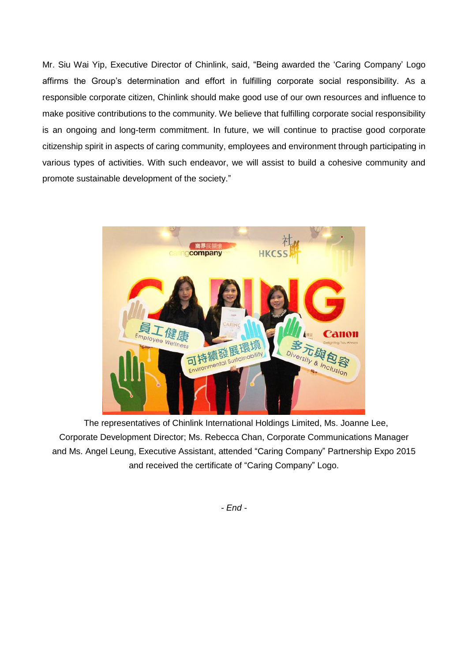Mr. Siu Wai Yip, Executive Director of Chinlink, said, "Being awarded the 'Caring Company' Logo affirms the Group's determination and effort in fulfilling corporate social responsibility. As a responsible corporate citizen, Chinlink should make good use of our own resources and influence to make positive contributions to the community. We believe that fulfilling corporate social responsibility is an ongoing and long-term commitment. In future, we will continue to practise good corporate citizenship spirit in aspects of caring community, employees and environment through participating in various types of activities. With such endeavor, we will assist to build a cohesive community and promote sustainable development of the society."



The representatives of Chinlink International Holdings Limited, Ms. Joanne Lee, Corporate Development Director; Ms. Rebecca Chan, Corporate Communications Manager and Ms. Angel Leung, Executive Assistant, attended "Caring Company" Partnership Expo 2015 and received the certificate of "Caring Company" Logo.

*- End -*